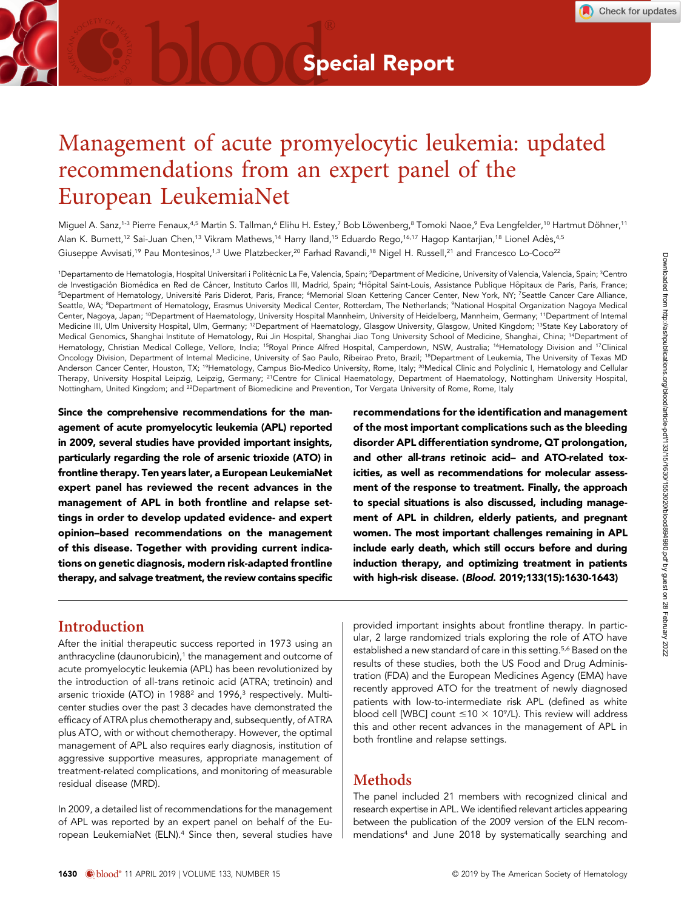# Management of acute promyelocytic leukemia: updated recommendations from an expert panel of the European LeukemiaNet

Miguel A. Sanz,<sup>1-3</sup> Pierre Fenaux,<sup>4,5</sup> Martin S. Tallman,<sup>6</sup> Elihu H. Estey,<sup>7</sup> Bob Löwenberg,<sup>8</sup> Tomoki Naoe,<sup>9</sup> Eva Lengfelder,<sup>10</sup> Hartmut Döhner,<sup>11</sup> Alan K. Burnett,<sup>12</sup> Sai-Juan Chen,<sup>13</sup> Vikram Mathews,<sup>14</sup> Harry Iland,<sup>15</sup> Eduardo Rego,<sup>16,17</sup> Hagop Kantarjian,<sup>18</sup> Lionel Adès,<sup>4,5</sup> Giuseppe Avvisati,<sup>19</sup> Pau Montesinos,<sup>1,3</sup> Uwe Platzbecker,<sup>20</sup> Farhad Ravandi,<sup>18</sup> Nigel H. Russell,<sup>21</sup> and Francesco Lo-Coco<sup>22</sup>

<sup>1</sup>Departamento de Hematologia, Hospital Universitari i Politècnic La Fe, Valencia, Spain; <sup>2</sup>Department of Medicine, University of Valencia, Valencia, Spain; <sup>3</sup>Centro de Investigación Biomédica en Red de Cáncer, Instituto Carlos III, Madrid, Spain; <sup>4</sup>Hôpital Saint-Louis, Assistance Publique Hôpitaux de Paris, Paris, France; <sup>5</sup>Department of Hematology, Université Paris Diderot, Paris, France; <sup>6</sup>Memorial Sloan Kettering Cancer Center, New York, NY; <sup>7</sup>Seattle Cancer Care Alliance, Seattle, WA; <sup>8</sup>Department of Hematology, Erasmus University Medical Center, Rotterdam, The Netherlands; <sup>9</sup>National Hospital Organization Nagoya Medical Center, Nagoya, Japan; <sup>10</sup>Department of Haematology, University Hospital Mannheim, University of Heidelberg, Mannheim, Germany; <sup>11</sup>Department of Internal Medicine III, Ulm University Hospital, Ulm, Germany; <sup>12</sup>Department of Haematology, Glasgow University, Glasgow, United Kingdom; <sup>13</sup>State Key Laboratory of Medical Genomics, Shanghai Institute of Hematology, Rui Jin Hospital, Shanghai Jiao Tong University School of Medicine, Shanghai, China; 14Department of Hematology, Christian Medical College, Vellore, India; <sup>15</sup>Royal Prince Alfred Hospital, Camperdown, NSW, Australia; <sup>16</sup>Hematology Division and <sup>17</sup>Clinical Oncology Division, Department of Internal Medicine, University of Sao Paulo, Ribeirao Preto, Brazil; 18Department of Leukemia, The University of Texas MD Anderson Cancer Center, Houston, TX; <sup>19</sup>Hematology, Campus Bio-Medico University, Rome, Italy; <sup>20</sup>Medical Clinic and Polyclinic I, Hematology and Cellular Therapy, University Hospital Leipzig, Leipzig, Germany; <sup>21</sup>Centre for Clinical Haematology, Department of Haematology, Nottingham University Hospital, Nottingham, United Kingdom; and 22Department of Biomedicine and Prevention, Tor Vergata University of Rome, Rome, Italy

Since the comprehensive recommendations for the management of acute promyelocytic leukemia (APL) reported in 2009, several studies have provided important insights, particularly regarding the role of arsenic trioxide (ATO) in frontline therapy. Ten years later, a European LeukemiaNet expert panel has reviewed the recent advances in the management of APL in both frontline and relapse settings in order to develop updated evidence- and expert opinion–based recommendations on the management of this disease. Together with providing current indications on genetic diagnosis, modern risk-adapted frontline therapy, and salvage treatment, the review contains specific recommendations for the identification and management of the most important complications such as the bleeding disorder APL differentiation syndrome, QT prolongation, and other all-trans retinoic acid– and ATO-related toxicities, as well as recommendations for molecular assessment of the response to treatment. Finally, the approach to special situations is also discussed, including management of APL in children, elderly patients, and pregnant women. The most important challenges remaining in APL include early death, which still occurs before and during induction therapy, and optimizing treatment in patients with high-risk disease. (Blood. 2019;133(15):1630-1643)

### Introduction

After the initial therapeutic success reported in 1973 using an anthracycline (daunorubicin),<sup>1</sup> the management and outcome of acute promyelocytic leukemia (APL) has been revolutionized by the introduction of all-trans retinoic acid (ATRA; tretinoin) and arsenic trioxide (ATO) in 1988<sup>2</sup> and 1996,<sup>3</sup> respectively. Multicenter studies over the past 3 decades have demonstrated the efficacy of ATRA plus chemotherapy and, subsequently, of ATRA plus ATO, with or without chemotherapy. However, the optimal management of APL also requires early diagnosis, institution of aggressive supportive measures, appropriate management of treatment-related complications, and monitoring of measurable residual disease (MRD).

In 2009, a detailed list of recommendations for the management of APL was reported by an expert panel on behalf of the European LeukemiaNet (ELN).4 Since then, several studies have provided important insights about frontline therapy. In particular, 2 large randomized trials exploring the role of ATO have established a new standard of care in this setting.<sup>5,6</sup> Based on the results of these studies, both the US Food and Drug Administration (FDA) and the European Medicines Agency (EMA) have recently approved ATO for the treatment of newly diagnosed patients with low-to-intermediate risk APL (defined as white blood cell [WBC] count  $\leq 10 \times 10^9$ /L). This review will address this and other recent advances in the management of APL in both frontline and relapse settings.

# Methods

The panel included 21 members with recognized clinical and research expertise in APL. We identified relevant articles appearing between the publication of the 2009 version of the ELN recommendations4 and June 2018 by systematically searching and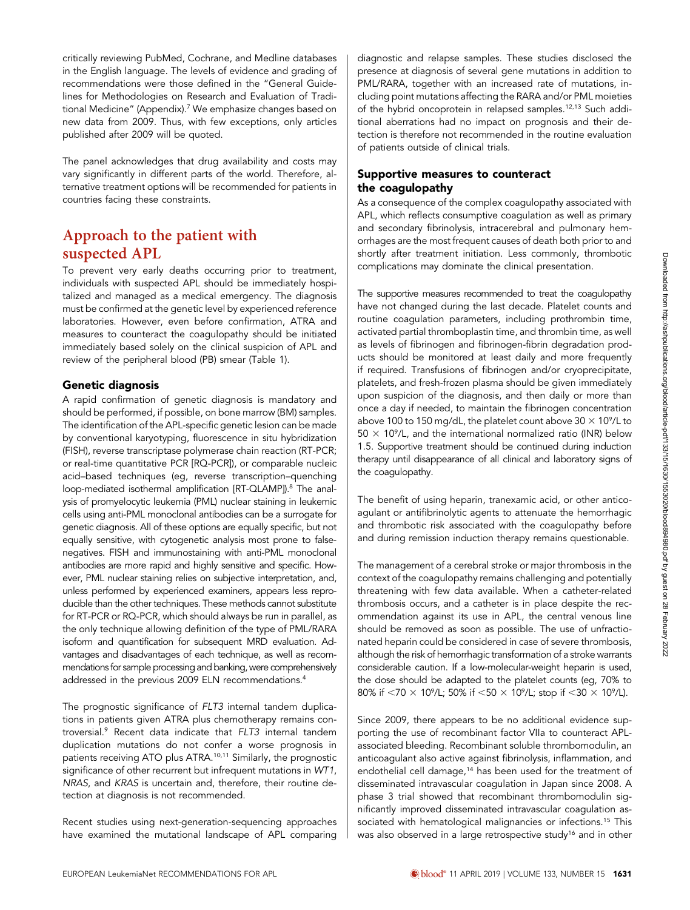critically reviewing PubMed, Cochrane, and Medline databases in the English language. The levels of evidence and grading of recommendations were those defined in the "General Guidelines for Methodologies on Research and Evaluation of Traditional Medicine" (Appendix).<sup>7</sup> We emphasize changes based on new data from 2009. Thus, with few exceptions, only articles published after 2009 will be quoted.

The panel acknowledges that drug availability and costs may vary significantly in different parts of the world. Therefore, alternative treatment options will be recommended for patients in countries facing these constraints.

# Approach to the patient with suspected APL

To prevent very early deaths occurring prior to treatment, individuals with suspected APL should be immediately hospitalized and managed as a medical emergency. The diagnosis must be confirmed at the genetic level by experienced reference laboratories. However, even before confirmation, ATRA and measures to counteract the coagulopathy should be initiated immediately based solely on the clinical suspicion of APL and review of the peripheral blood (PB) smear (Table 1).

### Genetic diagnosis

A rapid confirmation of genetic diagnosis is mandatory and should be performed, if possible, on bone marrow (BM) samples. The identification of the APL-specific genetic lesion can be made by conventional karyotyping, fluorescence in situ hybridization (FISH), reverse transcriptase polymerase chain reaction (RT-PCR; or real-time quantitative PCR [RQ-PCR]), or comparable nucleic acid–based techniques (eg, reverse transcription–quenching loop-mediated isothermal amplification [RT-QLAMP]).<sup>8</sup> The analysis of promyelocytic leukemia (PML) nuclear staining in leukemic cells using anti-PML monoclonal antibodies can be a surrogate for genetic diagnosis. All of these options are equally specific, but not equally sensitive, with cytogenetic analysis most prone to falsenegatives. FISH and immunostaining with anti-PML monoclonal antibodies are more rapid and highly sensitive and specific. However, PML nuclear staining relies on subjective interpretation, and, unless performed by experienced examiners, appears less reproducible than the other techniques. These methods cannot substitute for RT-PCR or RQ-PCR, which should always be run in parallel, as the only technique allowing definition of the type of PML/RARA isoform and quantification for subsequent MRD evaluation. Advantages and disadvantages of each technique, as well as recommendations for sample processing and banking, were comprehensively addressed in the previous 2009 ELN recommendations.4

The prognostic significance of FLT3 internal tandem duplications in patients given ATRA plus chemotherapy remains controversial.9 Recent data indicate that FLT3 internal tandem duplication mutations do not confer a worse prognosis in patients receiving ATO plus ATRA.10,11 Similarly, the prognostic significance of other recurrent but infrequent mutations in WT1, NRAS, and KRAS is uncertain and, therefore, their routine detection at diagnosis is not recommended.

Recent studies using next-generation-sequencing approaches have examined the mutational landscape of APL comparing diagnostic and relapse samples. These studies disclosed the presence at diagnosis of several gene mutations in addition to PML/RARA, together with an increased rate of mutations, including point mutations affecting the RARA and/or PML moieties of the hybrid oncoprotein in relapsed samples.<sup>12,13</sup> Such additional aberrations had no impact on prognosis and their detection is therefore not recommended in the routine evaluation of patients outside of clinical trials.

### Supportive measures to counteract the coagulopathy

As a consequence of the complex coagulopathy associated with APL, which reflects consumptive coagulation as well as primary and secondary fibrinolysis, intracerebral and pulmonary hemorrhages are the most frequent causes of death both prior to and shortly after treatment initiation. Less commonly, thrombotic complications may dominate the clinical presentation.

The supportive measures recommended to treat the coagulopathy have not changed during the last decade. Platelet counts and routine coagulation parameters, including prothrombin time, activated partial thromboplastin time, and thrombin time, as well as levels of fibrinogen and fibrinogen-fibrin degradation products should be monitored at least daily and more frequently if required. Transfusions of fibrinogen and/or cryoprecipitate, platelets, and fresh-frozen plasma should be given immediately upon suspicion of the diagnosis, and then daily or more than once a day if needed, to maintain the fibrinogen concentration above 100 to 150 mg/dL, the platelet count above 30  $\times$  10 $^{\circ}$ /L to  $50 \times 10^9$ /L, and the international normalized ratio (INR) below 1.5. Supportive treatment should be continued during induction therapy until disappearance of all clinical and laboratory signs of the coagulopathy.

The benefit of using heparin, tranexamic acid, or other anticoagulant or antifibrinolytic agents to attenuate the hemorrhagic and thrombotic risk associated with the coagulopathy before and during remission induction therapy remains questionable.

The management of a cerebral stroke or major thrombosis in the context of the coagulopathy remains challenging and potentially threatening with few data available. When a catheter-related thrombosis occurs, and a catheter is in place despite the recommendation against its use in APL, the central venous line should be removed as soon as possible. The use of unfractionated heparin could be considered in case of severe thrombosis, although the risk of hemorrhagic transformation of a stroke warrants considerable caution. If a low-molecular-weight heparin is used, the dose should be adapted to the platelet counts (eg, 70% to 80% if  $<$ 70  $\times$  10°/L; 50% if  $<$ 50  $\times$  10°/L; stop if  $<$ 30  $\times$  10°/L).

Since 2009, there appears to be no additional evidence supporting the use of recombinant factor VIIa to counteract APLassociated bleeding. Recombinant soluble thrombomodulin, an anticoagulant also active against fibrinolysis, inflammation, and endothelial cell damage,<sup>14</sup> has been used for the treatment of disseminated intravascular coagulation in Japan since 2008. A phase 3 trial showed that recombinant thrombomodulin significantly improved disseminated intravascular coagulation associated with hematological malignancies or infections.<sup>15</sup> This was also observed in a large retrospective study<sup>16</sup> and in other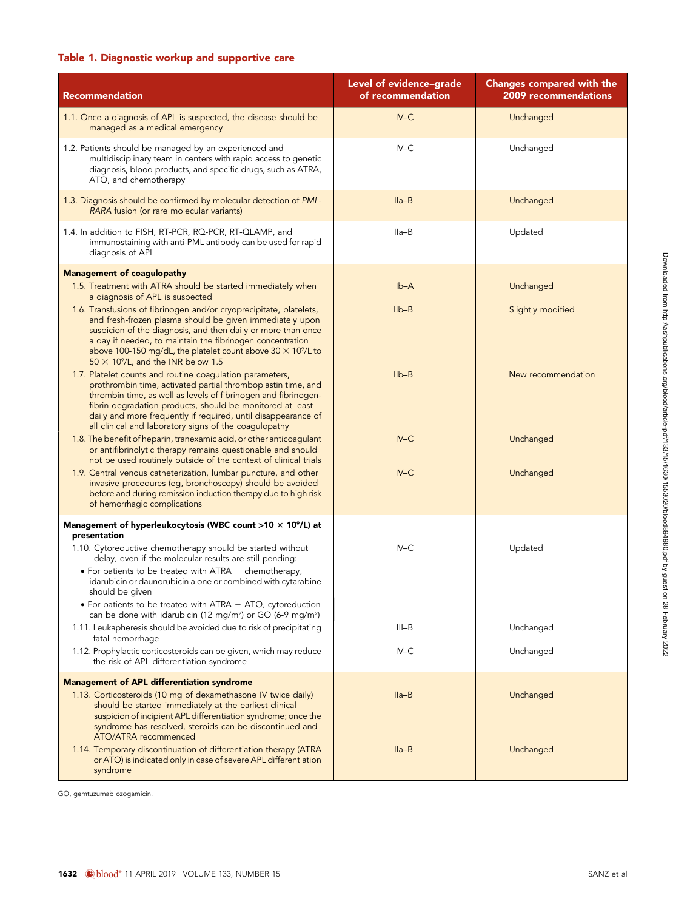### Table 1. Diagnostic workup and supportive care

| <b>Recommendation</b>                                                                                                                                                                                                                                                                                                                                                             | Level of evidence-grade<br>of recommendation | <b>Changes compared with the</b><br>2009 recommendations |
|-----------------------------------------------------------------------------------------------------------------------------------------------------------------------------------------------------------------------------------------------------------------------------------------------------------------------------------------------------------------------------------|----------------------------------------------|----------------------------------------------------------|
| 1.1. Once a diagnosis of APL is suspected, the disease should be<br>managed as a medical emergency                                                                                                                                                                                                                                                                                | $IV-C$                                       | Unchanged                                                |
| 1.2. Patients should be managed by an experienced and<br>multidisciplinary team in centers with rapid access to genetic<br>diagnosis, blood products, and specific drugs, such as ATRA,<br>ATO, and chemotherapy                                                                                                                                                                  | $IV-C$                                       | Unchanged                                                |
| 1.3. Diagnosis should be confirmed by molecular detection of PML-<br>RARA fusion (or rare molecular variants)                                                                                                                                                                                                                                                                     | $Ila-B$                                      | Unchanged                                                |
| 1.4. In addition to FISH, RT-PCR, RQ-PCR, RT-QLAMP, and<br>immunostaining with anti-PML antibody can be used for rapid<br>diagnosis of APL                                                                                                                                                                                                                                        | Ila-B                                        | Updated                                                  |
| <b>Management of coagulopathy</b><br>1.5. Treatment with ATRA should be started immediately when<br>a diagnosis of APL is suspected                                                                                                                                                                                                                                               | $Ib-A$                                       | Unchanged                                                |
| 1.6. Transfusions of fibrinogen and/or cryoprecipitate, platelets,<br>and fresh-frozen plasma should be given immediately upon<br>suspicion of the diagnosis, and then daily or more than once<br>a day if needed, to maintain the fibrinogen concentration<br>above 100-150 mg/dL, the platelet count above $30 \times 10^9$ /L to<br>$50 \times 10^9$ /L, and the INR below 1.5 | $I_{\text{lb}-\text{B}}$                     | Slightly modified                                        |
| 1.7. Platelet counts and routine coagulation parameters,<br>prothrombin time, activated partial thromboplastin time, and<br>thrombin time, as well as levels of fibrinogen and fibrinogen-<br>fibrin degradation products, should be monitored at least<br>daily and more frequently if required, until disappearance of<br>all clinical and laboratory signs of the coagulopathy | $I1b-B$                                      | New recommendation                                       |
| 1.8. The benefit of heparin, tranexamic acid, or other anticoagulant<br>or antifibrinolytic therapy remains questionable and should<br>not be used routinely outside of the context of clinical trials                                                                                                                                                                            | $IV-C$                                       | Unchanged                                                |
| 1.9. Central venous catheterization, lumbar puncture, and other<br>invasive procedures (eg, bronchoscopy) should be avoided<br>before and during remission induction therapy due to high risk<br>of hemorrhagic complications                                                                                                                                                     | $IV-C$                                       | Unchanged                                                |
| Management of hyperleukocytosis (WBC count $>10 \times 10^9$ /L) at                                                                                                                                                                                                                                                                                                               |                                              |                                                          |
| presentation<br>1.10. Cytoreductive chemotherapy should be started without<br>delay, even if the molecular results are still pending:                                                                                                                                                                                                                                             | $IV-C$                                       | Updated                                                  |
| • For patients to be treated with $ATRA +$ chemotherapy,<br>idarubicin or daunorubicin alone or combined with cytarabine<br>should be given                                                                                                                                                                                                                                       |                                              |                                                          |
| • For patients to be treated with ATRA $+$ ATO, cytoreduction<br>can be done with idarubicin (12 mg/m <sup>2</sup> ) or GO (6-9 mg/m <sup>2</sup> )                                                                                                                                                                                                                               |                                              |                                                          |
| 1.11. Leukapheresis should be avoided due to risk of precipitating<br>fatal hemorrhage                                                                                                                                                                                                                                                                                            | $III-B$                                      | Unchanged                                                |
| 1.12. Prophylactic corticosteroids can be given, which may reduce<br>the risk of APL differentiation syndrome                                                                                                                                                                                                                                                                     | $IV-C$                                       | Unchanged                                                |
| <b>Management of APL differentiation syndrome</b><br>1.13. Corticosteroids (10 mg of dexamethasone IV twice daily)<br>should be started immediately at the earliest clinical<br>suspicion of incipient APL differentiation syndrome; once the<br>syndrome has resolved, steroids can be discontinued and                                                                          | $Ila-B$                                      | Unchanged                                                |
| ATO/ATRA recommenced<br>1.14. Temporary discontinuation of differentiation therapy (ATRA<br>or ATO) is indicated only in case of severe APL differentiation<br>syndrome                                                                                                                                                                                                           | $Ila-B$                                      | Unchanged                                                |

GO, gemtuzumab ozogamicin.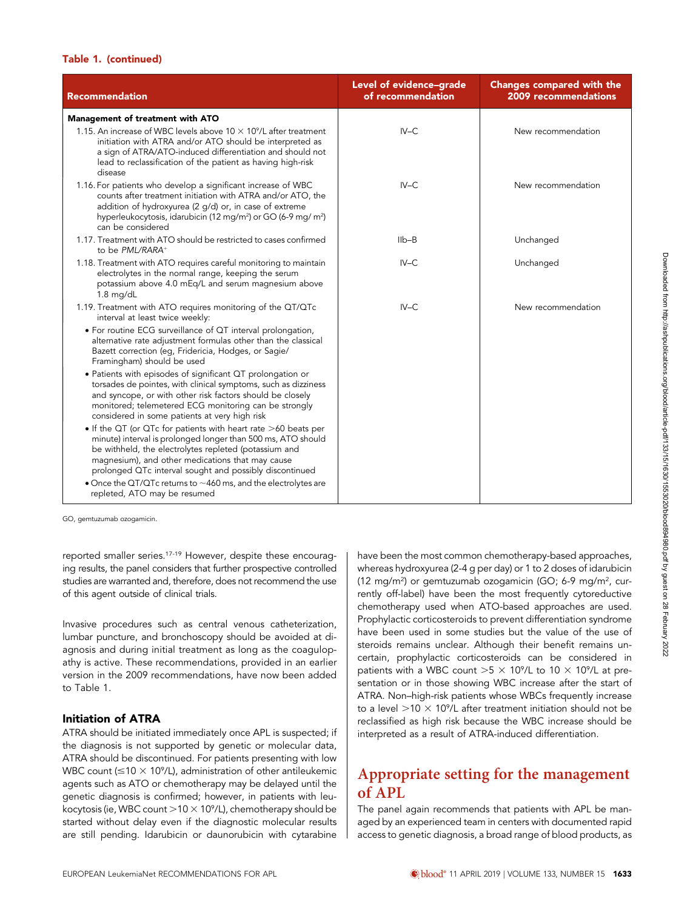#### Table 1. (continued)

| <b>Recommendation</b>                                                                                                                                                                                                                                                                                                                                                          | Level of evidence-grade<br>of recommendation | <b>Changes compared with the</b><br>2009 recommendations |
|--------------------------------------------------------------------------------------------------------------------------------------------------------------------------------------------------------------------------------------------------------------------------------------------------------------------------------------------------------------------------------|----------------------------------------------|----------------------------------------------------------|
| Management of treatment with ATO                                                                                                                                                                                                                                                                                                                                               |                                              |                                                          |
| 1.15. An increase of WBC levels above $10 \times 10^9$ /L after treatment<br>initiation with ATRA and/or ATO should be interpreted as<br>a sign of ATRA/ATO-induced differentiation and should not<br>lead to reclassification of the patient as having high-risk<br>disease                                                                                                   | $IV-C$                                       | New recommendation                                       |
| 1.16. For patients who develop a significant increase of WBC<br>counts after treatment initiation with ATRA and/or ATO, the<br>addition of hydroxyurea (2 q/d) or, in case of extreme<br>hyperleukocytosis, idarubicin (12 mg/m <sup>2</sup> ) or GO (6-9 mg/ m <sup>2</sup> )<br>can be considered                                                                            | $IV-C$                                       | New recommendation                                       |
| 1.17. Treatment with ATO should be restricted to cases confirmed<br>to be PML/RARA+                                                                                                                                                                                                                                                                                            | $IIb - B$                                    | Unchanged                                                |
| 1.18. Treatment with ATO requires careful monitoring to maintain<br>electrolytes in the normal range, keeping the serum<br>potassium above 4.0 mEq/L and serum magnesium above<br>$1.8$ mg/dL                                                                                                                                                                                  | $IV-C$                                       | Unchanged                                                |
| 1.19. Treatment with ATO requires monitoring of the QT/QTc<br>interval at least twice weekly:                                                                                                                                                                                                                                                                                  | $IV-C$                                       | New recommendation                                       |
| • For routine ECG surveillance of QT interval prolongation,<br>alternative rate adjustment formulas other than the classical<br>Bazett correction (eg, Fridericia, Hodges, or Sagie/<br>Framingham) should be used                                                                                                                                                             |                                              |                                                          |
| • Patients with episodes of significant QT prolongation or<br>torsades de pointes, with clinical symptoms, such as dizziness<br>and syncope, or with other risk factors should be closely<br>monitored; telemetered ECG monitoring can be strongly<br>considered in some patients at very high risk                                                                            |                                              |                                                          |
| • If the QT (or QTc for patients with heart rate >60 beats per<br>minute) interval is prolonged longer than 500 ms, ATO should<br>be withheld, the electrolytes repleted (potassium and<br>magnesium), and other medications that may cause<br>prolonged QTc interval sought and possibly discontinued<br>• Once the QT/QTc returns to $\sim$ 460 ms, and the electrolytes are |                                              |                                                          |
| repleted, ATO may be resumed                                                                                                                                                                                                                                                                                                                                                   |                                              |                                                          |

GO, gemtuzumab ozogamicin.

reported smaller series.<sup>17-19</sup> However, despite these encouraging results, the panel considers that further prospective controlled studies are warranted and, therefore, does not recommend the use of this agent outside of clinical trials.

Invasive procedures such as central venous catheterization, lumbar puncture, and bronchoscopy should be avoided at diagnosis and during initial treatment as long as the coagulopathy is active. These recommendations, provided in an earlier version in the 2009 recommendations, have now been added to Table 1.

### Initiation of ATRA

ATRA should be initiated immediately once APL is suspected; if the diagnosis is not supported by genetic or molecular data, ATRA should be discontinued. For patients presenting with low WBC count ( $\leq$ 10  $\times$  10°/L), administration of other antileukemic agents such as ATO or chemotherapy may be delayed until the genetic diagnosis is confirmed; however, in patients with leukocytosis (ie, WBC count  $>$  10  $\times$  10°/L), chemotherapy should be started without delay even if the diagnostic molecular results are still pending. Idarubicin or daunorubicin with cytarabine have been the most common chemotherapy-based approaches, whereas hydroxyurea (2-4 g per day) or 1 to 2 doses of idarubicin (12 mg/m<sup>2</sup>) or gemtuzumab ozogamicin (GO; 6-9 mg/m<sup>2</sup>, currently off-label) have been the most frequently cytoreductive chemotherapy used when ATO-based approaches are used. Prophylactic corticosteroids to prevent differentiation syndrome have been used in some studies but the value of the use of steroids remains unclear. Although their benefit remains uncertain, prophylactic corticosteroids can be considered in patients with a WBC count  $>5 \times 10^9$ /L to 10  $\times$  10<sup>9</sup>/L at presentation or in those showing WBC increase after the start of ATRA. Non–high-risk patients whose WBCs frequently increase to a level  $>$ 10  $\times$  10 $^{\circ}$ /L after treatment initiation should not be reclassified as high risk because the WBC increase should be interpreted as a result of ATRA-induced differentiation.

### Appropriate setting for the management of APL

The panel again recommends that patients with APL be managed by an experienced team in centers with documented rapid access to genetic diagnosis, a broad range of blood products, as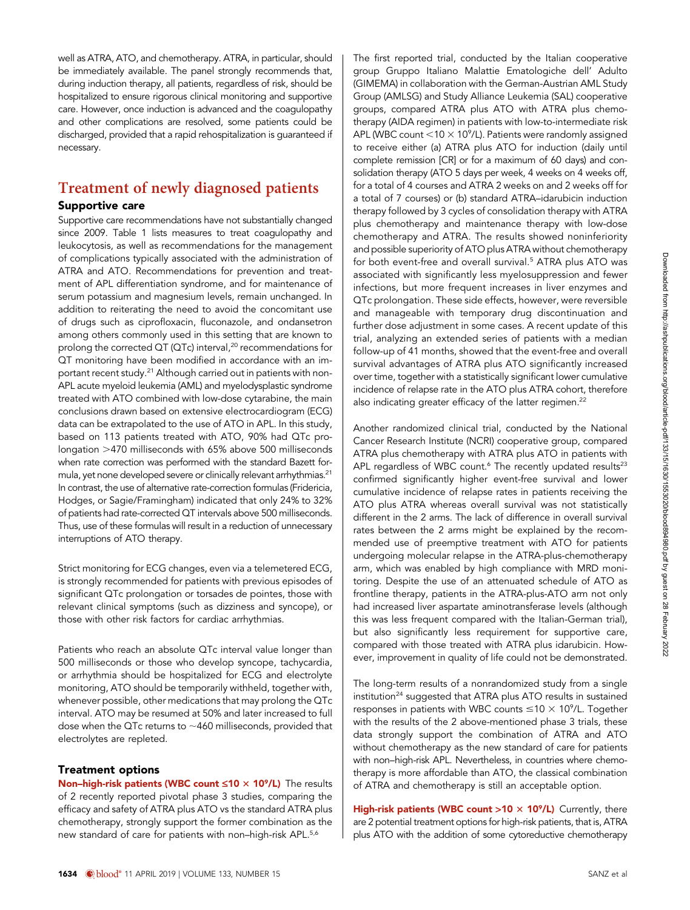well as ATRA, ATO, and chemotherapy. ATRA, in particular, should be immediately available. The panel strongly recommends that, during induction therapy, all patients, regardless of risk, should be hospitalized to ensure rigorous clinical monitoring and supportive care. However, once induction is advanced and the coagulopathy and other complications are resolved, some patients could be discharged, provided that a rapid rehospitalization is guaranteed if necessary.

### Treatment of newly diagnosed patients Supportive care

Supportive care recommendations have not substantially changed since 2009. Table 1 lists measures to treat coagulopathy and leukocytosis, as well as recommendations for the management of complications typically associated with the administration of ATRA and ATO. Recommendations for prevention and treatment of APL differentiation syndrome, and for maintenance of serum potassium and magnesium levels, remain unchanged. In addition to reiterating the need to avoid the concomitant use of drugs such as ciprofloxacin, fluconazole, and ondansetron among others commonly used in this setting that are known to prolong the corrected  $QT$  ( $QTc$ ) interval,<sup>20</sup> recommendations for QT monitoring have been modified in accordance with an important recent study.21 Although carried out in patients with non-APL acute myeloid leukemia (AML) and myelodysplastic syndrome treated with ATO combined with low-dose cytarabine, the main conclusions drawn based on extensive electrocardiogram (ECG) data can be extrapolated to the use of ATO in APL. In this study, based on 113 patients treated with ATO, 90% had QTc prolongation >470 milliseconds with 65% above 500 milliseconds when rate correction was performed with the standard Bazett formula, yet none developed severe or clinically relevant arrhythmias.21 In contrast, the use of alternative rate-correction formulas (Fridericia, Hodges, or Sagie/Framingham) indicated that only 24% to 32% of patients had rate-corrected QT intervals above 500 milliseconds. Thus, use of these formulas will result in a reduction of unnecessary interruptions of ATO therapy.

Strict monitoring for ECG changes, even via a telemetered ECG, is strongly recommended for patients with previous episodes of significant QTc prolongation or torsades de pointes, those with relevant clinical symptoms (such as dizziness and syncope), or those with other risk factors for cardiac arrhythmias.

Patients who reach an absolute QTc interval value longer than 500 milliseconds or those who develop syncope, tachycardia, or arrhythmia should be hospitalized for ECG and electrolyte monitoring, ATO should be temporarily withheld, together with, whenever possible, other medications that may prolong the QTc interval. ATO may be resumed at 50% and later increased to full dose when the QTc returns to  $\sim$ 460 milliseconds, provided that electrolytes are repleted.

#### Treatment options

Non-high-risk patients (WBC count  $\leq 10 \times 10^9$ /L) The results of 2 recently reported pivotal phase 3 studies, comparing the efficacy and safety of ATRA plus ATO vs the standard ATRA plus chemotherapy, strongly support the former combination as the new standard of care for patients with non-high-risk APL.<sup>5,6</sup>

The first reported trial, conducted by the Italian cooperative group Gruppo Italiano Malattie Ematologiche dell' Adulto (GIMEMA) in collaboration with the German-Austrian AML Study Group (AMLSG) and Study Alliance Leukemia (SAL) cooperative groups, compared ATRA plus ATO with ATRA plus chemotherapy (AIDA regimen) in patients with low-to-intermediate risk APL (WBC count  $<$  10  $\times$  10<sup>9</sup>/L). Patients were randomly assigned to receive either (a) ATRA plus ATO for induction (daily until complete remission [CR] or for a maximum of 60 days) and consolidation therapy (ATO 5 days per week, 4 weeks on 4 weeks off, for a total of 4 courses and ATRA 2 weeks on and 2 weeks off for a total of 7 courses) or (b) standard ATRA–idarubicin induction therapy followed by 3 cycles of consolidation therapy with ATRA plus chemotherapy and maintenance therapy with low-dose chemotherapy and ATRA. The results showed noninferiority and possible superiority of ATO plus ATRA without chemotherapy for both event-free and overall survival.<sup>5</sup> ATRA plus ATO was associated with significantly less myelosuppression and fewer infections, but more frequent increases in liver enzymes and QTc prolongation. These side effects, however, were reversible and manageable with temporary drug discontinuation and further dose adjustment in some cases. A recent update of this trial, analyzing an extended series of patients with a median follow-up of 41 months, showed that the event-free and overall survival advantages of ATRA plus ATO significantly increased over time, together with a statistically significant lower cumulative incidence of relapse rate in the ATO plus ATRA cohort, therefore also indicating greater efficacy of the latter regimen.<sup>22</sup>

Another randomized clinical trial, conducted by the National Cancer Research Institute (NCRI) cooperative group, compared ATRA plus chemotherapy with ATRA plus ATO in patients with APL regardless of WBC count.<sup>6</sup> The recently updated results<sup>23</sup> confirmed significantly higher event-free survival and lower cumulative incidence of relapse rates in patients receiving the ATO plus ATRA whereas overall survival was not statistically different in the 2 arms. The lack of difference in overall survival rates between the 2 arms might be explained by the recommended use of preemptive treatment with ATO for patients undergoing molecular relapse in the ATRA-plus-chemotherapy arm, which was enabled by high compliance with MRD monitoring. Despite the use of an attenuated schedule of ATO as frontline therapy, patients in the ATRA-plus-ATO arm not only had increased liver aspartate aminotransferase levels (although this was less frequent compared with the Italian-German trial), but also significantly less requirement for supportive care, compared with those treated with ATRA plus idarubicin. However, improvement in quality of life could not be demonstrated.

The long-term results of a nonrandomized study from a single institution<sup>24</sup> suggested that ATRA plus ATO results in sustained responses in patients with WBC counts  $\leq$ 10  $\times$  10°/L. Together with the results of the 2 above-mentioned phase 3 trials, these data strongly support the combination of ATRA and ATO without chemotherapy as the new standard of care for patients with non–high-risk APL. Nevertheless, in countries where chemotherapy is more affordable than ATO, the classical combination of ATRA and chemotherapy is still an acceptable option.

High-risk patients (WBC count  $>10 \times 10^9$ /L) Currently, there are 2 potential treatment options for high-risk patients, that is, ATRA plus ATO with the addition of some cytoreductive chemotherapy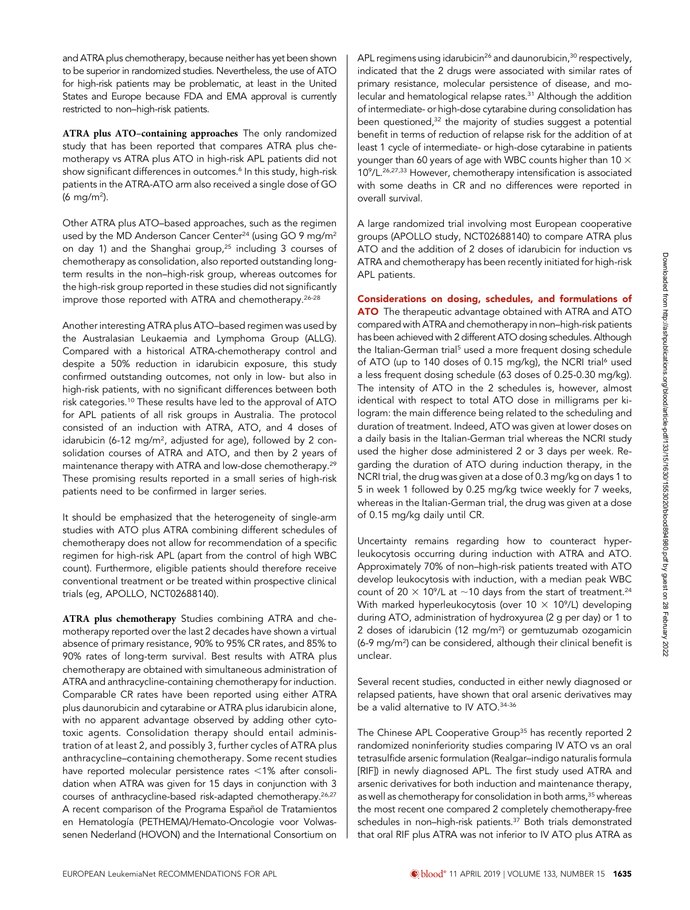and ATRA plus chemotherapy, because neither has yet been shown to be superior in randomized studies. Nevertheless, the use of ATO for high-risk patients may be problematic, at least in the United States and Europe because FDA and EMA approval is currently restricted to non–high-risk patients.

ATRA plus ATO–containing approaches The only randomized study that has been reported that compares ATRA plus chemotherapy vs ATRA plus ATO in high-risk APL patients did not show significant differences in outcomes.<sup>6</sup> In this study, high-risk patients in the ATRA-ATO arm also received a single dose of GO (6 mg/m<sup>2</sup>).

Other ATRA plus ATO–based approaches, such as the regimen used by the MD Anderson Cancer Center<sup>24</sup> (using GO 9 mg/m<sup>2</sup> on day 1) and the Shanghai group,<sup>25</sup> including 3 courses of chemotherapy as consolidation, also reported outstanding longterm results in the non–high-risk group, whereas outcomes for the high-risk group reported in these studies did not significantly improve those reported with ATRA and chemotherapy.26-28

Another interesting ATRA plus ATO–based regimen was used by the Australasian Leukaemia and Lymphoma Group (ALLG). Compared with a historical ATRA-chemotherapy control and despite a 50% reduction in idarubicin exposure, this study confirmed outstanding outcomes, not only in low- but also in high-risk patients, with no significant differences between both risk categories.10 These results have led to the approval of ATO for APL patients of all risk groups in Australia. The protocol consisted of an induction with ATRA, ATO, and 4 doses of idarubicin (6-12 mg/m<sup>2</sup>, adjusted for age), followed by 2 consolidation courses of ATRA and ATO, and then by 2 years of maintenance therapy with ATRA and low-dose chemotherapy.29 These promising results reported in a small series of high-risk patients need to be confirmed in larger series.

It should be emphasized that the heterogeneity of single-arm studies with ATO plus ATRA combining different schedules of chemotherapy does not allow for recommendation of a specific regimen for high-risk APL (apart from the control of high WBC count). Furthermore, eligible patients should therefore receive conventional treatment or be treated within prospective clinical trials (eg, APOLLO, NCT02688140).

ATRA plus chemotherapy Studies combining ATRA and chemotherapy reported over the last 2 decades have shown a virtual absence of primary resistance, 90% to 95% CR rates, and 85% to 90% rates of long-term survival. Best results with ATRA plus chemotherapy are obtained with simultaneous administration of ATRA and anthracycline-containing chemotherapy for induction. Comparable CR rates have been reported using either ATRA plus daunorubicin and cytarabine or ATRA plus idarubicin alone, with no apparent advantage observed by adding other cytotoxic agents. Consolidation therapy should entail administration of at least 2, and possibly 3, further cycles of ATRA plus anthracycline–containing chemotherapy. Some recent studies have reported molecular persistence rates  $<$ 1% after consolidation when ATRA was given for 15 days in conjunction with 3 courses of anthracycline-based risk-adapted chemotherapy.26,27 A recent comparison of the Programa Español de Tratamientos en Hematología (PETHEMA)/Hemato-Oncologie voor Volwassenen Nederland (HOVON) and the International Consortium on APL regimens using idarubicin<sup>26</sup> and daunorubicin,<sup>30</sup> respectively, indicated that the 2 drugs were associated with similar rates of primary resistance, molecular persistence of disease, and molecular and hematological relapse rates.<sup>31</sup> Although the addition of intermediate- or high-dose cytarabine during consolidation has been questioned,<sup>32</sup> the majority of studies suggest a potential benefit in terms of reduction of relapse risk for the addition of at least 1 cycle of intermediate- or high-dose cytarabine in patients younger than 60 years of age with WBC counts higher than 10  $\times$ 109 /L.26,27,33 However, chemotherapy intensification is associated with some deaths in CR and no differences were reported in overall survival.

A large randomized trial involving most European cooperative groups (APOLLO study, NCT02688140) to compare ATRA plus ATO and the addition of 2 doses of idarubicin for induction vs ATRA and chemotherapy has been recently initiated for high-risk APL patients.

Considerations on dosing, schedules, and formulations of **ATO** The therapeutic advantage obtained with ATRA and ATO compared with ATRA and chemotherapy in non–high-risk patients has been achieved with 2 different ATO dosing schedules. Although the Italian-German trial<sup>5</sup> used a more frequent dosing schedule of ATO (up to 140 doses of 0.15 mg/kg), the NCRI trial<sup>6</sup> used a less frequent dosing schedule (63 doses of 0.25-0.30 mg/kg). The intensity of ATO in the 2 schedules is, however, almost identical with respect to total ATO dose in milligrams per kilogram: the main difference being related to the scheduling and duration of treatment. Indeed, ATO was given at lower doses on a daily basis in the Italian-German trial whereas the NCRI study used the higher dose administered 2 or 3 days per week. Regarding the duration of ATO during induction therapy, in the NCRI trial, the drug was given at a dose of 0.3 mg/kg on days 1 to 5 in week 1 followed by 0.25 mg/kg twice weekly for 7 weeks, whereas in the Italian-German trial, the drug was given at a dose of 0.15 mg/kg daily until CR.

Uncertainty remains regarding how to counteract hyperleukocytosis occurring during induction with ATRA and ATO. Approximately 70% of non–high-risk patients treated with ATO develop leukocytosis with induction, with a median peak WBC count of 20  $\times$  10<sup>9</sup>/L at  $\sim$  10 days from the start of treatment.<sup>24</sup> With marked hyperleukocytosis (over  $10 \times 10^9$ /L) developing during ATO, administration of hydroxyurea (2 g per day) or 1 to 2 doses of idarubicin (12 mg/m2 ) or gemtuzumab ozogamicin (6-9 mg/m2 ) can be considered, although their clinical benefit is unclear.

Several recent studies, conducted in either newly diagnosed or relapsed patients, have shown that oral arsenic derivatives may be a valid alternative to IV ATO.34-36

The Chinese APL Cooperative Group<sup>35</sup> has recently reported 2 randomized noninferiority studies comparing IV ATO vs an oral tetrasulfide arsenic formulation (Realgar–indigo naturalis formula [RIF]) in newly diagnosed APL. The first study used ATRA and arsenic derivatives for both induction and maintenance therapy, as well as chemotherapy for consolidation in both arms,<sup>35</sup> whereas the most recent one compared 2 completely chemotherapy-free schedules in non-high-risk patients.<sup>37</sup> Both trials demonstrated that oral RIF plus ATRA was not inferior to IV ATO plus ATRA as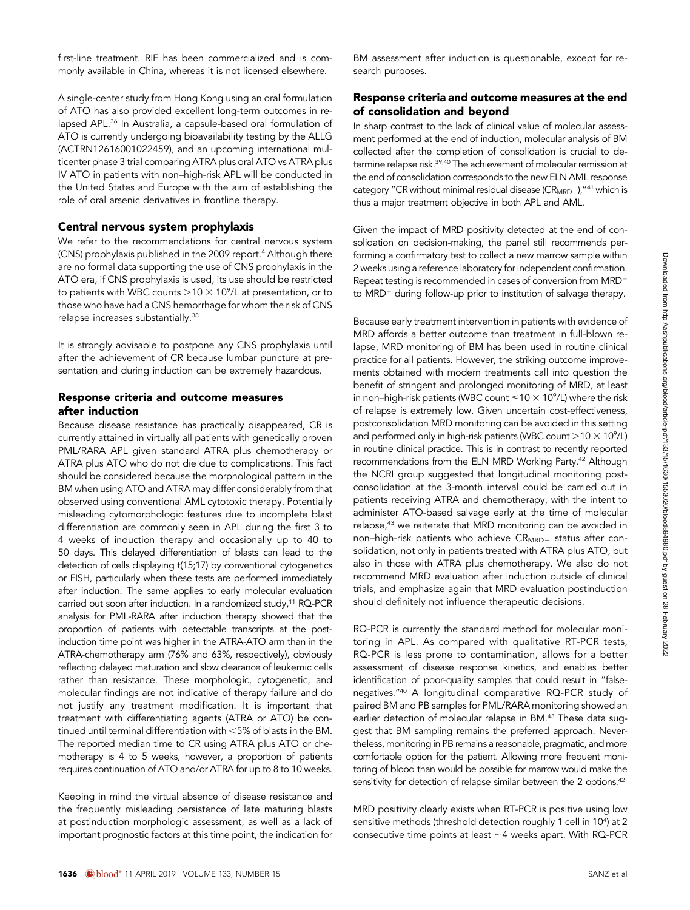first-line treatment. RIF has been commercialized and is commonly available in China, whereas it is not licensed elsewhere.

A single-center study from Hong Kong using an oral formulation of ATO has also provided excellent long-term outcomes in relapsed APL.<sup>36</sup> In Australia, a capsule-based oral formulation of ATO is currently undergoing bioavailability testing by the ALLG (ACTRN12616001022459), and an upcoming international multicenter phase 3 trial comparing ATRA plus oral ATO vs ATRA plus IV ATO in patients with non–high-risk APL will be conducted in the United States and Europe with the aim of establishing the role of oral arsenic derivatives in frontline therapy.

#### Central nervous system prophylaxis

We refer to the recommendations for central nervous system (CNS) prophylaxis published in the 2009 report.<sup>4</sup> Although there are no formal data supporting the use of CNS prophylaxis in the ATO era, if CNS prophylaxis is used, its use should be restricted to patients with WBC counts  $>$  10  $\times$  10°/L at presentation, or to those who have had a CNS hemorrhage for whom the risk of CNS relapse increases substantially.38

It is strongly advisable to postpone any CNS prophylaxis until after the achievement of CR because lumbar puncture at presentation and during induction can be extremely hazardous.

#### Response criteria and outcome measures after induction

Because disease resistance has practically disappeared, CR is currently attained in virtually all patients with genetically proven PML/RARA APL given standard ATRA plus chemotherapy or ATRA plus ATO who do not die due to complications. This fact should be considered because the morphological pattern in the BM when using ATO and ATRA may differ considerably from that observed using conventional AML cytotoxic therapy. Potentially misleading cytomorphologic features due to incomplete blast differentiation are commonly seen in APL during the first 3 to 4 weeks of induction therapy and occasionally up to 40 to 50 days. This delayed differentiation of blasts can lead to the detection of cells displaying t(15;17) by conventional cytogenetics or FISH, particularly when these tests are performed immediately after induction. The same applies to early molecular evaluation carried out soon after induction. In a randomized study,<sup>11</sup> RQ-PCR analysis for PML-RARA after induction therapy showed that the proportion of patients with detectable transcripts at the postinduction time point was higher in the ATRA-ATO arm than in the ATRA-chemotherapy arm (76% and 63%, respectively), obviously reflecting delayed maturation and slow clearance of leukemic cells rather than resistance. These morphologic, cytogenetic, and molecular findings are not indicative of therapy failure and do not justify any treatment modification. It is important that treatment with differentiating agents (ATRA or ATO) be continued until terminal differentiation with  $<$  5% of blasts in the BM. The reported median time to CR using ATRA plus ATO or chemotherapy is 4 to 5 weeks, however, a proportion of patients requires continuation of ATO and/or ATRA for up to 8 to 10 weeks.

Keeping in mind the virtual absence of disease resistance and the frequently misleading persistence of late maturing blasts at postinduction morphologic assessment, as well as a lack of important prognostic factors at this time point, the indication for BM assessment after induction is questionable, except for research purposes.

#### Response criteria and outcome measures at the end of consolidation and beyond

In sharp contrast to the lack of clinical value of molecular assessment performed at the end of induction, molecular analysis of BM collected after the completion of consolidation is crucial to determine relapse risk.<sup>39,40</sup> The achievement of molecular remission at the end of consolidation corresponds to the new ELN AML response category "CR without minimal residual disease  $(CR<sub>MRD</sub>_{n})$ , "<sup>41</sup> which is thus a major treatment objective in both APL and AML.

Given the impact of MRD positivity detected at the end of consolidation on decision-making, the panel still recommends performing a confirmatory test to collect a new marrow sample within 2 weeks using a reference laboratory for independent confirmation. Repeat testing is recommended in cases of conversion from  $MRD^$ to MRD<sup>+</sup> during follow-up prior to institution of salvage therapy.

Because early treatment intervention in patients with evidence of MRD affords a better outcome than treatment in full-blown relapse, MRD monitoring of BM has been used in routine clinical practice for all patients. However, the striking outcome improvements obtained with modern treatments call into question the benefit of stringent and prolonged monitoring of MRD, at least in non–high-risk patients (WBC count  $\leq$ 10  $\times$  10°/L) where the risk of relapse is extremely low. Given uncertain cost-effectiveness, postconsolidation MRD monitoring can be avoided in this setting and performed only in high-risk patients (WBC count  $>$  10  $\times$  10<sup>9</sup>/L) in routine clinical practice. This is in contrast to recently reported recommendations from the ELN MRD Working Party.<sup>42</sup> Although the NCRI group suggested that longitudinal monitoring postconsolidation at the 3-month interval could be carried out in patients receiving ATRA and chemotherapy, with the intent to administer ATO-based salvage early at the time of molecular relapse,<sup>43</sup> we reiterate that MRD monitoring can be avoided in non-high-risk patients who achieve CR<sub>MRD-</sub> status after consolidation, not only in patients treated with ATRA plus ATO, but also in those with ATRA plus chemotherapy. We also do not recommend MRD evaluation after induction outside of clinical trials, and emphasize again that MRD evaluation postinduction should definitely not influence therapeutic decisions.

RQ-PCR is currently the standard method for molecular monitoring in APL. As compared with qualitative RT-PCR tests, RQ-PCR is less prone to contamination, allows for a better assessment of disease response kinetics, and enables better identification of poor-quality samples that could result in "falsenegatives."<sup>40</sup> A longitudinal comparative RQ-PCR study of paired BM and PB samples for PML/RARA monitoring showed an earlier detection of molecular relapse in BM.<sup>43</sup> These data suggest that BM sampling remains the preferred approach. Nevertheless, monitoring in PB remains a reasonable, pragmatic, and more comfortable option for the patient. Allowing more frequent monitoring of blood than would be possible for marrow would make the sensitivity for detection of relapse similar between the 2 options.<sup>42</sup>

MRD positivity clearly exists when RT-PCR is positive using low sensitive methods (threshold detection roughly 1 cell in 10<sup>4</sup>) at 2 consecutive time points at least  $\sim$  4 weeks apart. With RQ-PCR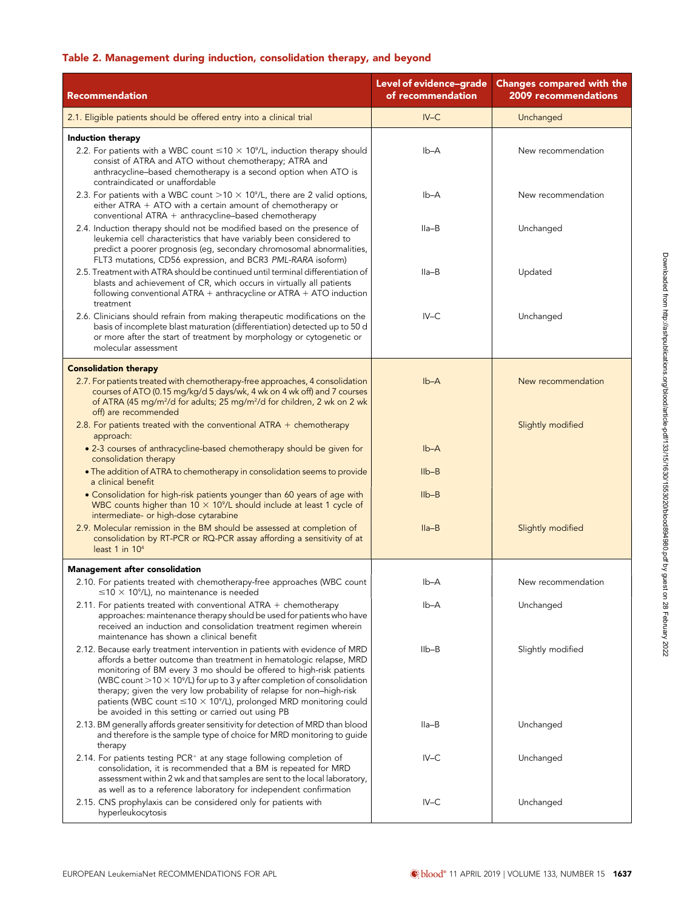### Table 2. Management during induction, consolidation therapy, and beyond

| <b>Recommendation</b>                                                                                                                                                                                                                                                                                                                                                                                                                                                                                                                      | Level of evidence-grade<br>of recommendation | <b>Changes compared with the</b><br>2009 recommendations |
|--------------------------------------------------------------------------------------------------------------------------------------------------------------------------------------------------------------------------------------------------------------------------------------------------------------------------------------------------------------------------------------------------------------------------------------------------------------------------------------------------------------------------------------------|----------------------------------------------|----------------------------------------------------------|
| 2.1. Eligible patients should be offered entry into a clinical trial                                                                                                                                                                                                                                                                                                                                                                                                                                                                       | $IV-C$                                       | Unchanged                                                |
| Induction therapy<br>2.2. For patients with a WBC count $\leq 10 \times 10^9$ /L, induction therapy should<br>consist of ATRA and ATO without chemotherapy; ATRA and<br>anthracycline-based chemotherapy is a second option when ATO is                                                                                                                                                                                                                                                                                                    | lb-A                                         | New recommendation                                       |
| contraindicated or unaffordable<br>2.3. For patients with a WBC count $>10 \times 10^9$ /L, there are 2 valid options,<br>either ATRA $+$ ATO with a certain amount of chemotherapy or<br>conventional ATRA + anthracycline-based chemotherapy                                                                                                                                                                                                                                                                                             | Ib-A                                         | New recommendation                                       |
| 2.4. Induction therapy should not be modified based on the presence of<br>leukemia cell characteristics that have variably been considered to<br>predict a poorer prognosis (eg, secondary chromosomal abnormalities,<br>FLT3 mutations, CD56 expression, and BCR3 PML-RARA isoform)                                                                                                                                                                                                                                                       | Ila-B                                        | Unchanged                                                |
| 2.5. Treatment with ATRA should be continued until terminal differentiation of<br>blasts and achievement of CR, which occurs in virtually all patients<br>following conventional $ATRA +$ anthracycline or $ATRA + ATO$ induction<br>treatment                                                                                                                                                                                                                                                                                             | Ila-B                                        | Updated                                                  |
| 2.6. Clinicians should refrain from making therapeutic modifications on the<br>basis of incomplete blast maturation (differentiation) detected up to 50 d<br>or more after the start of treatment by morphology or cytogenetic or<br>molecular assessment                                                                                                                                                                                                                                                                                  | $IV-C$                                       | Unchanged                                                |
| <b>Consolidation therapy</b><br>2.7. For patients treated with chemotherapy-free approaches, 4 consolidation<br>courses of ATO (0.15 mg/kg/d 5 days/wk, 4 wk on 4 wk off) and 7 courses<br>of ATRA (45 mg/m <sup>2</sup> /d for adults; 25 mg/m <sup>2</sup> /d for children, 2 wk on 2 wk<br>off) are recommended                                                                                                                                                                                                                         | $Ib-A$                                       | New recommendation                                       |
| 2.8. For patients treated with the conventional $ATRA +$ chemotherapy<br>approach:<br>• 2-3 courses of anthracycline-based chemotherapy should be given for                                                                                                                                                                                                                                                                                                                                                                                | $Ib-A$                                       | Slightly modified                                        |
| consolidation therapy<br>. The addition of ATRA to chemotherapy in consolidation seems to provide                                                                                                                                                                                                                                                                                                                                                                                                                                          | $I_{\text{lb}-\text{B}}$                     |                                                          |
| a clinical benefit<br>• Consolidation for high-risk patients younger than 60 years of age with<br>WBC counts higher than $10 \times 10^9$ /L should include at least 1 cycle of<br>intermediate- or high-dose cytarabine                                                                                                                                                                                                                                                                                                                   | $I1b-B$                                      |                                                          |
| 2.9. Molecular remission in the BM should be assessed at completion of<br>consolidation by RT-PCR or RQ-PCR assay affording a sensitivity of at<br>least 1 in $104$                                                                                                                                                                                                                                                                                                                                                                        | $Ila-B$                                      | Slightly modified                                        |
| Management after consolidation                                                                                                                                                                                                                                                                                                                                                                                                                                                                                                             |                                              |                                                          |
| 2.10. For patients treated with chemotherapy-free approaches (WBC count<br>$\leq$ 10 $\times$ 10 <sup>9</sup> /L), no maintenance is needed                                                                                                                                                                                                                                                                                                                                                                                                | Ib-A                                         | New recommendation                                       |
| 2.11. For patients treated with conventional ATRA $+$ chemotherapy<br>approaches: maintenance therapy should be used for patients who have<br>received an induction and consolidation treatment regimen wherein<br>maintenance has shown a clinical benefit                                                                                                                                                                                                                                                                                | Ib-A                                         | Unchanged                                                |
| 2.12. Because early treatment intervention in patients with evidence of MRD<br>affords a better outcome than treatment in hematologic relapse, MRD<br>monitoring of BM every 3 mo should be offered to high-risk patients<br>(WBC count $>$ 10 $\times$ 10 <sup>9</sup> /L) for up to 3 y after completion of consolidation<br>therapy; given the very low probability of relapse for non-high-risk<br>patients (WBC count $\leq 10 \times 10^9$ /L), prolonged MRD monitoring could<br>be avoided in this setting or carried out using PB | $I_{\text{lb}-\text{B}}$                     | Slightly modified                                        |
| 2.13. BM generally affords greater sensitivity for detection of MRD than blood<br>and therefore is the sample type of choice for MRD monitoring to guide<br>therapy                                                                                                                                                                                                                                                                                                                                                                        | Ila-B                                        | Unchanged                                                |
| 2.14. For patients testing PCR <sup>+</sup> at any stage following completion of<br>consolidation, it is recommended that a BM is repeated for MRD<br>assessment within 2 wk and that samples are sent to the local laboratory,<br>as well as to a reference laboratory for independent confirmation                                                                                                                                                                                                                                       | $IV-C$                                       | Unchanged                                                |
| 2.15. CNS prophylaxis can be considered only for patients with<br>hyperleukocytosis                                                                                                                                                                                                                                                                                                                                                                                                                                                        | $IV-C$                                       | Unchanged                                                |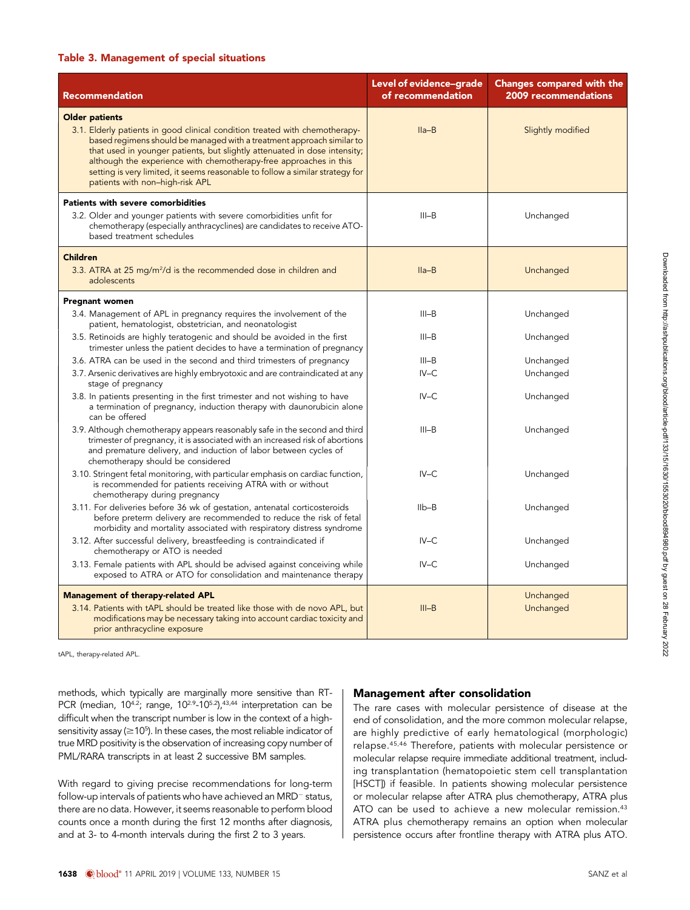#### Table 3. Management of special situations

| <b>Recommendation</b>                                                                                                                                                                                                                                                                                                                                                                                                                               | Level of evidence-grade<br>of recommendation | <b>Changes compared with the</b><br><b>2009 recommendations</b> |
|-----------------------------------------------------------------------------------------------------------------------------------------------------------------------------------------------------------------------------------------------------------------------------------------------------------------------------------------------------------------------------------------------------------------------------------------------------|----------------------------------------------|-----------------------------------------------------------------|
| <b>Older patients</b><br>3.1. Elderly patients in good clinical condition treated with chemotherapy-<br>based regimens should be managed with a treatment approach similar to<br>that used in younger patients, but slightly attenuated in dose intensity;<br>although the experience with chemotherapy-free approaches in this<br>setting is very limited, it seems reasonable to follow a similar strategy for<br>patients with non-high-risk APL | $Ila-B$                                      | Slightly modified                                               |
| Patients with severe comorbidities<br>3.2. Older and younger patients with severe comorbidities unfit for<br>chemotherapy (especially anthracyclines) are candidates to receive ATO-<br>based treatment schedules                                                                                                                                                                                                                                   | $III-B$                                      | Unchanged                                                       |
| <b>Children</b><br>3.3. ATRA at 25 mg/m <sup>2</sup> /d is the recommended dose in children and<br>adolescents                                                                                                                                                                                                                                                                                                                                      | $Ila-B$                                      | Unchanged                                                       |
| <b>Pregnant women</b><br>3.4. Management of APL in pregnancy requires the involvement of the<br>patient, hematologist, obstetrician, and neonatologist                                                                                                                                                                                                                                                                                              | $III-B$                                      | Unchanged                                                       |
| 3.5. Retinoids are highly teratogenic and should be avoided in the first<br>trimester unless the patient decides to have a termination of pregnancy                                                                                                                                                                                                                                                                                                 | $III-B$                                      | Unchanged                                                       |
| 3.6. ATRA can be used in the second and third trimesters of pregnancy<br>3.7. Arsenic derivatives are highly embryotoxic and are contraindicated at any<br>stage of pregnancy                                                                                                                                                                                                                                                                       | $III-B$<br>$IV-C$                            | Unchanged<br>Unchanged                                          |
| 3.8. In patients presenting in the first trimester and not wishing to have<br>a termination of pregnancy, induction therapy with daunorubicin alone<br>can be offered                                                                                                                                                                                                                                                                               | $IV-C$                                       | Unchanged                                                       |
| 3.9. Although chemotherapy appears reasonably safe in the second and third<br>trimester of pregnancy, it is associated with an increased risk of abortions<br>and premature delivery, and induction of labor between cycles of<br>chemotherapy should be considered                                                                                                                                                                                 | $III-B$                                      | Unchanged                                                       |
| 3.10. Stringent fetal monitoring, with particular emphasis on cardiac function,<br>is recommended for patients receiving ATRA with or without<br>chemotherapy during pregnancy                                                                                                                                                                                                                                                                      | $IV-C$                                       | Unchanged                                                       |
| 3.11. For deliveries before 36 wk of gestation, antenatal corticosteroids<br>before preterm delivery are recommended to reduce the risk of fetal<br>morbidity and mortality associated with respiratory distress syndrome                                                                                                                                                                                                                           | $I_{\text{lb}-\text{B}}$                     | Unchanged                                                       |
| 3.12. After successful delivery, breastfeeding is contraindicated if<br>chemotherapy or ATO is needed                                                                                                                                                                                                                                                                                                                                               | $IV-C$                                       | Unchanged                                                       |
| 3.13. Female patients with APL should be advised against conceiving while<br>exposed to ATRA or ATO for consolidation and maintenance therapy                                                                                                                                                                                                                                                                                                       | $IV-C$                                       | Unchanged                                                       |
| <b>Management of therapy-related APL</b><br>3.14. Patients with tAPL should be treated like those with de novo APL, but<br>modifications may be necessary taking into account cardiac toxicity and<br>prior anthracycline exposure                                                                                                                                                                                                                  | $III-B$                                      | Unchanged<br>Unchanged                                          |

tAPL, therapy-related APL.

methods, which typically are marginally more sensitive than RT-PCR (median,  $10^{4.2}$ ; range,  $10^{2.9}$ - $10^{5.2}$ ),  $43.44$  interpretation can be difficult when the transcript number is low in the context of a highsensitivity assay ( $\geq$  10<sup>5</sup>). In these cases, the most reliable indicator of true MRD positivity is the observation of increasing copy number of PML/RARA transcripts in at least 2 successive BM samples.

With regard to giving precise recommendations for long-term follow-up intervals of patients who have achieved an MRD<sup>-</sup> status, there are no data. However, it seems reasonable to perform blood counts once a month during the first 12 months after diagnosis, and at 3- to 4-month intervals during the first 2 to 3 years.

### Management after consolidation

The rare cases with molecular persistence of disease at the end of consolidation, and the more common molecular relapse, are highly predictive of early hematological (morphologic) relapse.45,46 Therefore, patients with molecular persistence or molecular relapse require immediate additional treatment, including transplantation (hematopoietic stem cell transplantation [HSCT]) if feasible. In patients showing molecular persistence or molecular relapse after ATRA plus chemotherapy, ATRA plus ATO can be used to achieve a new molecular remission.<sup>43</sup> ATRA plus chemotherapy remains an option when molecular persistence occurs after frontline therapy with ATRA plus ATO.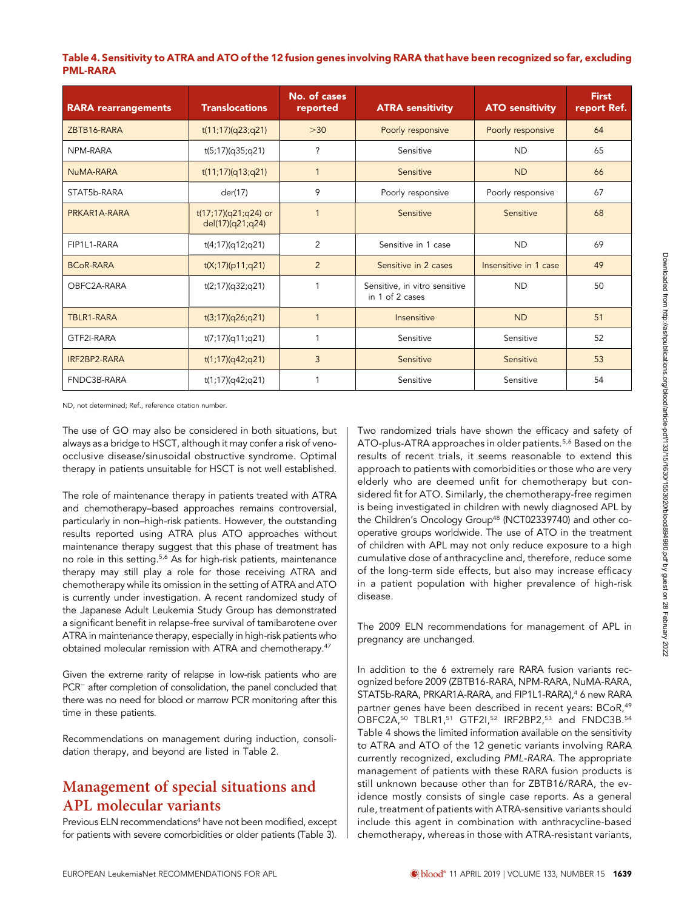### Table 4. Sensitivity to ATRA and ATO of the 12 fusion genes involving RARA that have been recognized so far, excluding PML-RARA

| <b>RARA rearrangements</b> | <b>Translocations</b>                    | No. of cases<br>reported | <b>ATRA sensitivity</b>                          | <b>ATO sensitivity</b> | <b>First</b><br>report Ref. |
|----------------------------|------------------------------------------|--------------------------|--------------------------------------------------|------------------------|-----------------------------|
| ZBTB16-RARA                | t(11;17)(q23;q21)                        | $>30$                    | Poorly responsive                                | Poorly responsive      | 64                          |
| NPM-RARA                   | t(5;17)(q35;q21)                         | ?                        | Sensitive                                        | <b>ND</b>              | 65                          |
| NuMA-RARA                  | t(11;17)(q13;q21)                        | 1                        | Sensitive                                        | <b>ND</b>              | 66                          |
| STAT5b-RARA                | der(17)                                  | 9                        | Poorly responsive                                | Poorly responsive      | 67                          |
| PRKAR1A-RARA               | t(17;17)(q21;q24) or<br>del(17)(q21;q24) | 1                        | Sensitive                                        | Sensitive              | 68                          |
| FIP1L1-RARA                | t(4;17)(q12;q21)                         | $\overline{2}$           | Sensitive in 1 case                              | <b>ND</b>              | 69                          |
| <b>BCoR-RARA</b>           | t(X;17)(p11;q21)                         | $\overline{2}$           | Sensitive in 2 cases                             | Insensitive in 1 case  | 49                          |
| OBFC2A-RARA                | t(2;17)(q32;q21)                         | 1                        | Sensitive, in vitro sensitive<br>in 1 of 2 cases | <b>ND</b>              | 50                          |
| TBLR1-RARA                 | t(3;17)(q26;q21)                         | 1                        | Insensitive                                      | <b>ND</b>              | 51                          |
| GTF2I-RARA                 | t(7;17)(q11;q21)                         | 1                        | Sensitive                                        | Sensitive              | 52                          |
| IRF2BP2-RARA               | t(1;17)(q42;q21)                         | 3                        | Sensitive                                        | Sensitive              | 53                          |
| FNDC3B-RARA                | t(1;17)(q42;q21)                         | 1                        | Sensitive                                        | Sensitive              | 54                          |

ND, not determined; Ref., reference citation number.

The use of GO may also be considered in both situations, but always as a bridge to HSCT, although it may confer a risk of venoocclusive disease/sinusoidal obstructive syndrome. Optimal therapy in patients unsuitable for HSCT is not well established.

The role of maintenance therapy in patients treated with ATRA and chemotherapy–based approaches remains controversial, particularly in non–high-risk patients. However, the outstanding results reported using ATRA plus ATO approaches without maintenance therapy suggest that this phase of treatment has no role in this setting.<sup>5,6</sup> As for high-risk patients, maintenance therapy may still play a role for those receiving ATRA and chemotherapy while its omission in the setting of ATRA and ATO is currently under investigation. A recent randomized study of the Japanese Adult Leukemia Study Group has demonstrated a significant benefit in relapse-free survival of tamibarotene over ATRA in maintenance therapy, especially in high-risk patients who obtained molecular remission with ATRA and chemotherapy.<sup>47</sup>

Given the extreme rarity of relapse in low-risk patients who are PCR<sup>-</sup> after completion of consolidation, the panel concluded that there was no need for blood or marrow PCR monitoring after this time in these patients.

Recommendations on management during induction, consolidation therapy, and beyond are listed in Table 2.

# Management of special situations and APL molecular variants

Previous ELN recommendations<sup>4</sup> have not been modified, except for patients with severe comorbidities or older patients (Table 3).

Two randomized trials have shown the efficacy and safety of ATO-plus-ATRA approaches in older patients.<sup>5,6</sup> Based on the results of recent trials, it seems reasonable to extend this approach to patients with comorbidities or those who are very elderly who are deemed unfit for chemotherapy but considered fit for ATO. Similarly, the chemotherapy-free regimen is being investigated in children with newly diagnosed APL by the Children's Oncology Group<sup>48</sup> (NCT02339740) and other cooperative groups worldwide. The use of ATO in the treatment of children with APL may not only reduce exposure to a high cumulative dose of anthracycline and, therefore, reduce some of the long-term side effects, but also may increase efficacy in a patient population with higher prevalence of high-risk disease.

The 2009 ELN recommendations for management of APL in pregnancy are unchanged.

In addition to the 6 extremely rare RARA fusion variants recognized before 2009 (ZBTB16-RARA, NPM-RARA, NuMA-RARA, STAT5b-RARA, PRKAR1A-RARA, and FIP1L1-RARA),<sup>4</sup> 6 new RARA partner genes have been described in recent years: BCoR,<sup>49</sup> OBFC2A,<sup>50</sup> TBLR1,<sup>51</sup> GTF2I,<sup>52</sup> IRF2BP2,<sup>53</sup> and FNDC3B.<sup>54</sup> Table 4 shows the limited information available on the sensitivity to ATRA and ATO of the 12 genetic variants involving RARA currently recognized, excluding PML-RARA. The appropriate management of patients with these RARA fusion products is still unknown because other than for ZBTB16/RARA, the evidence mostly consists of single case reports. As a general rule, treatment of patients with ATRA-sensitive variants should include this agent in combination with anthracycline-based chemotherapy, whereas in those with ATRA-resistant variants,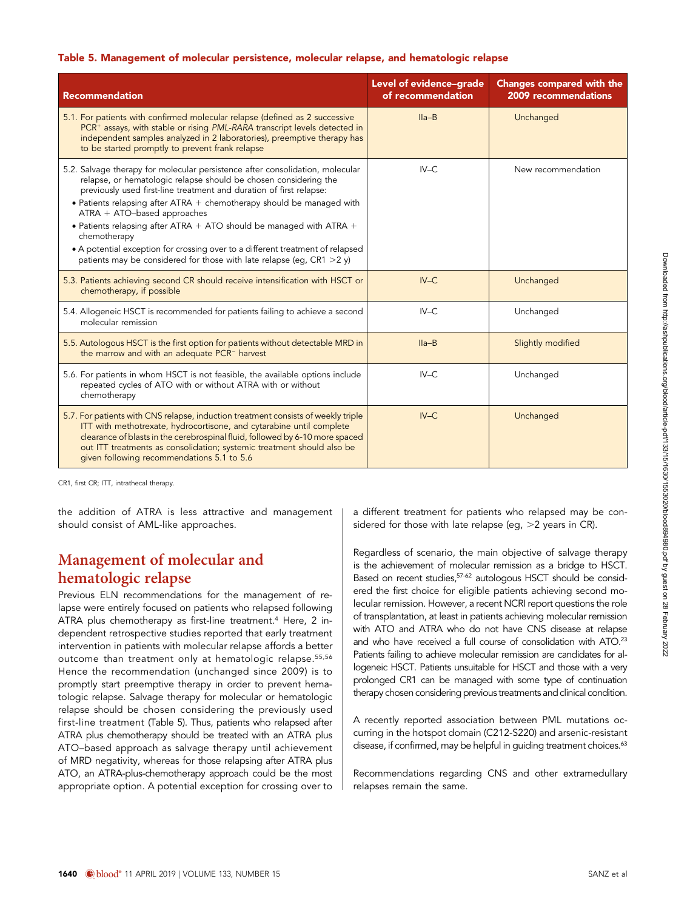#### Table 5. Management of molecular persistence, molecular relapse, and hematologic relapse

| <b>Recommendation</b>                                                                                                                                                                                                                                                                                                                                                                                                                                                                                                                                                                              | Level of evidence-grade<br>of recommendation | <b>Changes compared with the</b><br>2009 recommendations |
|----------------------------------------------------------------------------------------------------------------------------------------------------------------------------------------------------------------------------------------------------------------------------------------------------------------------------------------------------------------------------------------------------------------------------------------------------------------------------------------------------------------------------------------------------------------------------------------------------|----------------------------------------------|----------------------------------------------------------|
| 5.1. For patients with confirmed molecular relapse (defined as 2 successive<br>PCR <sup>+</sup> assays, with stable or rising PML-RARA transcript levels detected in<br>independent samples analyzed in 2 laboratories), preemptive therapy has<br>to be started promptly to prevent frank relapse                                                                                                                                                                                                                                                                                                 | $IIa-B$                                      | Unchanged                                                |
| 5.2. Salvage therapy for molecular persistence after consolidation, molecular<br>relapse, or hematologic relapse should be chosen considering the<br>previously used first-line treatment and duration of first relapse:<br>$\bullet$ Patients relapsing after ATRA $+$ chemotherapy should be managed with<br>$ATRA + ATO-based approaches$<br>• Patients relapsing after ATRA $+$ ATO should be managed with ATRA $+$<br>chemotherapy<br>• A potential exception for crossing over to a different treatment of relapsed<br>patients may be considered for those with late relapse (eg, CR1 >2 y) | $IV-C$                                       | New recommendation                                       |
| 5.3. Patients achieving second CR should receive intensification with HSCT or<br>chemotherapy, if possible                                                                                                                                                                                                                                                                                                                                                                                                                                                                                         | $IV-C$                                       | Unchanged                                                |
| 5.4. Allogeneic HSCT is recommended for patients failing to achieve a second<br>molecular remission                                                                                                                                                                                                                                                                                                                                                                                                                                                                                                | $IV-C$                                       | Unchanged                                                |
| 5.5. Autologous HSCT is the first option for patients without detectable MRD in<br>the marrow and with an adequate PCR <sup>-</sup> harvest                                                                                                                                                                                                                                                                                                                                                                                                                                                        | $IIa-B$                                      | Slightly modified                                        |
| 5.6. For patients in whom HSCT is not feasible, the available options include<br>repeated cycles of ATO with or without ATRA with or without<br>chemotherapy                                                                                                                                                                                                                                                                                                                                                                                                                                       | $IV-C$                                       | Unchanged                                                |
| 5.7. For patients with CNS relapse, induction treatment consists of weekly triple<br>ITT with methotrexate, hydrocortisone, and cytarabine until complete<br>clearance of blasts in the cerebrospinal fluid, followed by 6-10 more spaced<br>out ITT treatments as consolidation; systemic treatment should also be<br>given following recommendations 5.1 to 5.6                                                                                                                                                                                                                                  | $IV-C$                                       | Unchanged                                                |

CR1, first CR; ITT, intrathecal therapy.

the addition of ATRA is less attractive and management should consist of AML-like approaches.

# Management of molecular and hematologic relapse

Previous ELN recommendations for the management of relapse were entirely focused on patients who relapsed following ATRA plus chemotherapy as first-line treatment.<sup>4</sup> Here, 2 independent retrospective studies reported that early treatment intervention in patients with molecular relapse affords a better outcome than treatment only at hematologic relapse.<sup>55,56</sup> Hence the recommendation (unchanged since 2009) is to promptly start preemptive therapy in order to prevent hematologic relapse. Salvage therapy for molecular or hematologic relapse should be chosen considering the previously used first-line treatment (Table 5). Thus, patients who relapsed after ATRA plus chemotherapy should be treated with an ATRA plus ATO–based approach as salvage therapy until achievement of MRD negativity, whereas for those relapsing after ATRA plus ATO, an ATRA-plus-chemotherapy approach could be the most appropriate option. A potential exception for crossing over to a different treatment for patients who relapsed may be considered for those with late relapse (eg,  $>2$  years in CR).

Regardless of scenario, the main objective of salvage therapy is the achievement of molecular remission as a bridge to HSCT. Based on recent studies,57-62 autologous HSCT should be considered the first choice for eligible patients achieving second molecular remission. However, a recent NCRI report questions the role of transplantation, at least in patients achieving molecular remission with ATO and ATRA who do not have CNS disease at relapse and who have received a full course of consolidation with ATO.<sup>23</sup> Patients failing to achieve molecular remission are candidates for allogeneic HSCT. Patients unsuitable for HSCT and those with a very prolonged CR1 can be managed with some type of continuation therapy chosen considering previous treatments and clinical condition.

A recently reported association between PML mutations occurring in the hotspot domain (C212-S220) and arsenic-resistant disease, if confirmed, may be helpful in guiding treatment choices.<sup>63</sup>

Recommendations regarding CNS and other extramedullary relapses remain the same.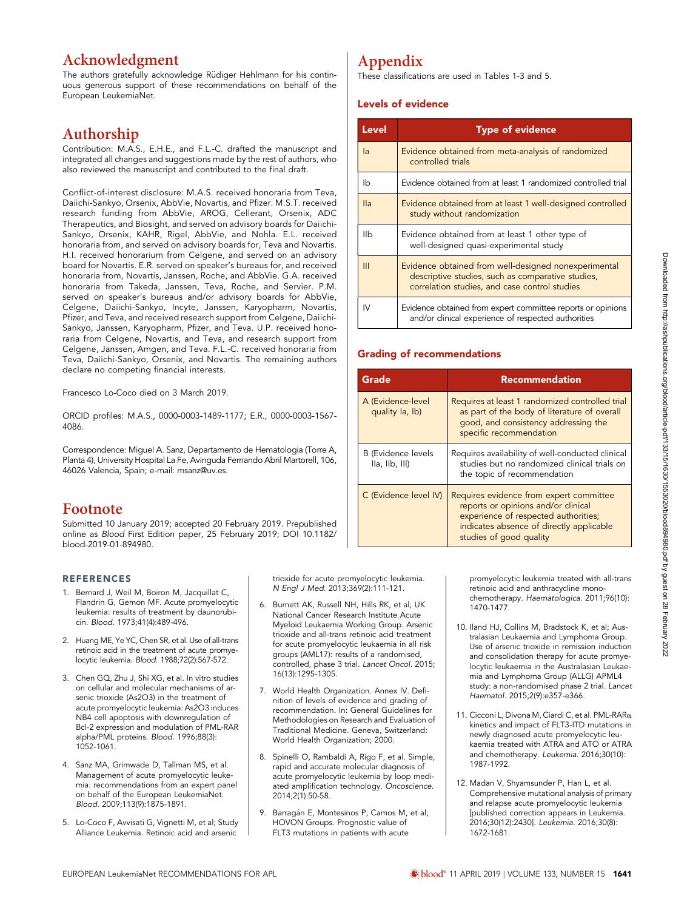### Acknowledgment

The authors gratefully acknowledge Rüdiger Hehlmann for his continuous generous support of these recommendations on behalf of the European LeukemiaNet.

# Authorship

Contribution: M.A.S., E.H.E., and F.L.-C. drafted the manuscript and integrated all changes and suggestions made by the rest of authors, who also reviewed the manuscript and contributed to the final draft.

Conflict-of-interest disclosure: M.A.S. received honoraria from Teva, Daiichi-Sankyo, Orsenix, AbbVie, Novartis, and Pfizer. M.S.T. received research funding from AbbVie, AROG, Cellerant, Orsenix, ADC Therapeutics, and Biosight, and served on advisory boards for Daiichi-Sankyo, Orsenix, KAHR, Rigel, AbbVie, and Nohla. E.L. received honoraria from, and served on advisory boards for, Teva and Novartis. H.I. received honorarium from Celgene, and served on an advisory board for Novartis. E.R. served on speaker's bureaus for, and received honoraria from, Novartis, Janssen, Roche, and AbbVie. G.A. received honoraria from Takeda, Janssen, Teva, Roche, and Servier. P.M. served on speaker's bureaus and/or advisory boards for AbbVie, Celgene, Daiichi-Sankyo, Incyte, Janssen, Karyopharm, Novartis, Pfizer, and Teva, and received research support from Celgene, Daiichi-Sankyo, Janssen, Karyopharm, Pfizer, and Teva. U.P. received honoraria from Celgene, Novartis, and Teva, and research support from Celgene, Janssen, Amgen, and Teva. F.L.-C. received honoraria from Teva, Daiichi-Sankyo, Orsenix, and Novartis. The remaining authors declare no competing financial interests.

Francesco Lo-Coco died on 3 March 2019.

ORCID profiles: M.A.S.[, 0000-0003-1489-1177](http://orcid.org/0000-0003-1489-1177); E.R.[, 0000-0003-1567-](http://orcid.org/0000-0003-1567-4086) [4086](http://orcid.org/0000-0003-1567-4086).

Correspondence: Miguel A. Sanz, Departamento de Hematologia (Torre A, Planta 4), University Hospital La Fe, Avinguda Fernando Abril Martorell, 106, 46026 Valencia, Spain; e-mail: [msanz@uv.es](mailto:msanz@uv.es).

### Footnote

Submitted 10 January 2019; accepted 20 February 2019. Prepublished online as Blood First Edition paper, 25 February 2019; DOI [10.1182/](https://doi.org/10.1182/blood-2019-01-894980) [blood-2019-01-894980](https://doi.org/10.1182/blood-2019-01-894980).

#### REFERENCES

- 1. Bernard J, Weil M, Boiron M, Jacquillat C, Flandrin G, Gemon MF. Acute promyelocytic leukemia: results of treatment by daunorubicin. Blood. 1973;41(4):489-496.
- 2. Huang ME, Ye YC, Chen SR, et al. Use of all-trans retinoic acid in the treatment of acute promyelocytic leukemia. Blood. 1988;72(2):567-572.
- 3. Chen GQ, Zhu J, Shi XG, et al. In vitro studies on cellular and molecular mechanisms of arsenic trioxide (As2O3) in the treatment of acute promyelocytic leukemia: As2O3 induces NB4 cell apoptosis with downregulation of Bcl-2 expression and modulation of PML-RAR alpha/PML proteins. Blood. 1996;88(3): 1052-1061.
- 4. Sanz MA, Grimwade D, Tallman MS, et al. Management of acute promyelocytic leukemia: recommendations from an expert panel on behalf of the European LeukemiaNet. Blood. 2009;113(9):1875-1891.
- 5. Lo-Coco F, Avvisati G, Vignetti M, et al; Study Alliance Leukemia. Retinoic acid and arsenic

trioxide for acute promyelocytic leukemia. N Engl J Med. 2013;369(2):111-121.

- 6. Burnett AK, Russell NH, Hills RK, et al; UK National Cancer Research Institute Acute Myeloid Leukaemia Working Group. Arsenic trioxide and all-trans retinoic acid treatment for acute promyelocytic leukaemia in all risk groups (AML17): results of a randomised, controlled, phase 3 trial. Lancet Oncol. 2015; 16(13):1295-1305.
- 7. World Health Organization. Annex IV. Definition of levels of evidence and grading of recommendation. In: General Guidelines for Methodologies on Research and Evaluation of Traditional Medicine. Geneva, Switzerland: World Health Organization; 2000.
- 8. Spinelli O, Rambaldi A, Rigo F, et al. Simple, rapid and accurate molecular diagnosis of acute promyelocytic leukemia by loop mediated amplification technology. Oncoscience. 2014;2(1):50-58.
- 9. Barragán E, Montesinos P, Camos M, et al; HOVON Groups. Prognostic value of FLT3 mutations in patients with acute

# Appendix

These classifications are used in Tables 1-3 and 5.

#### Levels of evidence

| <b>Level</b> | <b>Type of evidence</b>                                                                                                                                    |
|--------------|------------------------------------------------------------------------------------------------------------------------------------------------------------|
| la           | Evidence obtained from meta-analysis of randomized<br>controlled trials                                                                                    |
| Ib           | Evidence obtained from at least 1 randomized controlled trial                                                                                              |
| lla          | Evidence obtained from at least 1 well-designed controlled<br>study without randomization                                                                  |
| IIb          | Evidence obtained from at least 1 other type of<br>well-designed quasi-experimental study                                                                  |
| III          | Evidence obtained from well-designed nonexperimental<br>descriptive studies, such as comparative studies,<br>correlation studies, and case control studies |
| IV           | Evidence obtained from expert committee reports or opinions<br>and/or clinical experience of respected authorities                                         |

#### Grading of recommendations

| Grade                                       | <b>Recommendation</b>                                                                                                                                                                         |
|---------------------------------------------|-----------------------------------------------------------------------------------------------------------------------------------------------------------------------------------------------|
| A (Evidence-level<br>quality la, lb)        | Requires at least 1 randomized controlled trial<br>as part of the body of literature of overall<br>good, and consistency addressing the<br>specific recommendation                            |
| <b>B</b> (Evidence levels<br>IIa, IIb, III) | Requires availability of well-conducted clinical<br>studies but no randomized clinical trials on<br>the topic of recommendation                                                               |
| C (Evidence level IV)                       | Requires evidence from expert committee<br>reports or opinions and/or clinical<br>experience of respected authorities;<br>indicates absence of directly applicable<br>studies of good quality |

promyelocytic leukemia treated with all-trans retinoic acid and anthracycline monochemotherapy. Haematologica. 2011;96(10): 1470-1477.

- 10. Iland HJ, Collins M, Bradstock K, et al; Australasian Leukaemia and Lymphoma Group. Use of arsenic trioxide in remission induction and consolidation therapy for acute promyelocytic leukaemia in the Australasian Leukaemia and Lymphoma Group (ALLG) APML4 study: a non-randomised phase 2 trial. Lancet Haematol. 2015;2(9):e357-e366.
- 11. Cicconi L, Divona M, Ciardi C, et al. PML-RARa kinetics and impact of FLT3-ITD mutations in newly diagnosed acute promyelocytic leukaemia treated with ATRA and ATO or ATRA and chemotherapy. Leukemia. 2016;30(10): 1987-1992.
- 12. Madan V, Shyamsunder P, Han L, et al. Comprehensive mutational analysis of primary and relapse acute promyelocytic leukemia [published correction appears in Leukemia. 2016;30(12):2430]. Leukemia. 2016;30(8): 1672-1681.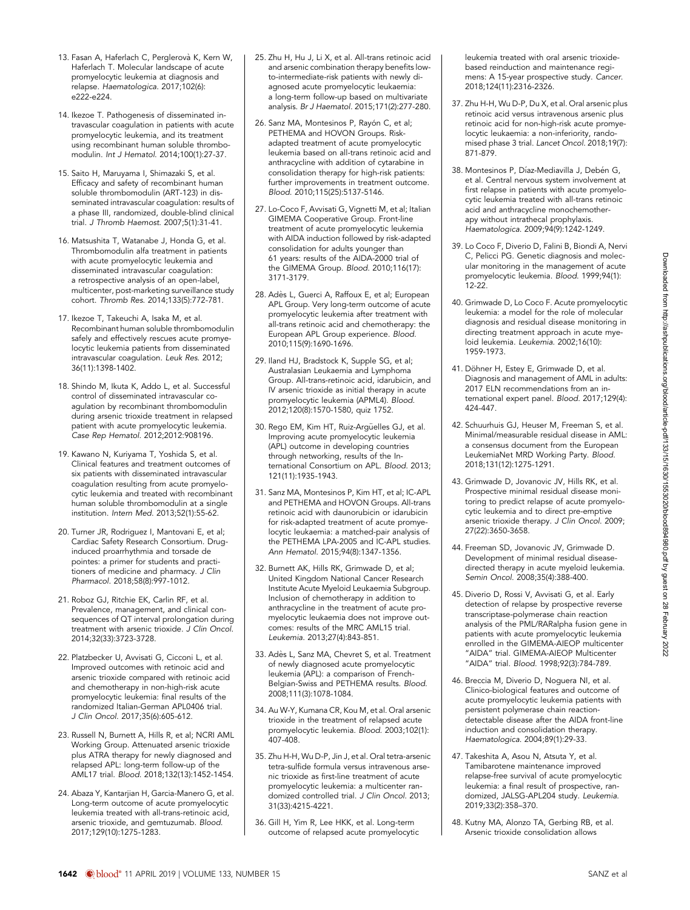- 13. Fasan A, Haferlach C, Perglerovà K, Kern W, Haferlach T. Molecular landscape of acute promyelocytic leukemia at diagnosis and relapse. Haematologica. 2017;102(6):  $e^{22} - e^{224}$
- 14. Ikezoe T. Pathogenesis of disseminated intravascular coagulation in patients with acute promyelocytic leukemia, and its treatment using recombinant human soluble thrombomodulin. Int J Hematol. 2014;100(1):27-37.
- 15. Saito H, Maruyama I, Shimazaki S, et al. Efficacy and safety of recombinant human soluble thrombomodulin (ART-123) in disseminated intravascular coagulation: results of a phase III, randomized, double-blind clinical trial. J Thromb Haemost. 2007;5(1):31-41.
- 16. Matsushita T, Watanabe J, Honda G, et al. Thrombomodulin alfa treatment in patients with acute promyelocytic leukemia and disseminated intravascular coagulation: a retrospective analysis of an open-label, multicenter, post-marketing surveillance study cohort. Thromb Res. 2014;133(5):772-781.
- 17. Ikezoe T, Takeuchi A, Isaka M, et al. Recombinant human soluble thrombomodulin safely and effectively rescues acute promyelocytic leukemia patients from disseminated intravascular coagulation. Leuk Res. 2012; 36(11):1398-1402.
- 18. Shindo M, Ikuta K, Addo L, et al. Successful control of disseminated intravascular coagulation by recombinant thrombomodulin during arsenic trioxide treatment in relapsed patient with acute promyelocytic leukemia. Case Rep Hematol. 2012;2012:908196.
- 19. Kawano N, Kuriyama T, Yoshida S, et al. Clinical features and treatment outcomes of six patients with disseminated intravascular coagulation resulting from acute promyelocytic leukemia and treated with recombinant human soluble thrombomodulin at a single institution. Intern Med. 2013;52(1):55-62.
- 20. Turner JR, Rodriguez I, Mantovani E, et al; Cardiac Safety Research Consortium. Druginduced proarrhythmia and torsade de pointes: a primer for students and practitioners of medicine and pharmacy. J Clin Pharmacol. 2018;58(8):997-1012.
- 21. Roboz GJ, Ritchie EK, Carlin RF, et al. Prevalence, management, and clinical consequences of QT interval prolongation during treatment with arsenic trioxide. J Clin Oncol. 2014;32(33):3723-3728.
- 22. Platzbecker U, Avvisati G, Cicconi L, et al. Improved outcomes with retinoic acid and arsenic trioxide compared with retinoic acid and chemotherapy in non-high-risk acute promyelocytic leukemia: final results of the randomized Italian-German APL0406 trial. J Clin Oncol. 2017;35(6):605-612.
- 23. Russell N, Burnett A, Hills R, et al; NCRI AML Working Group. Attenuated arsenic trioxide plus ATRA therapy for newly diagnosed and relapsed APL: long-term follow-up of the AML17 trial. Blood. 2018;132(13):1452-1454.
- 24. Abaza Y, Kantarjian H, Garcia-Manero G, et al. Long-term outcome of acute promyelocytic leukemia treated with all-trans-retinoic acid, arsenic trioxide, and gemtuzumab. Blood. 2017;129(10):1275-1283.
- 25. Zhu H, Hu J, Li X, et al. All-trans retinoic acid and arsenic combination therapy benefits lowto-intermediate-risk patients with newly diagnosed acute promyelocytic leukaemia: a long-term follow-up based on multivariate analysis. Br J Haematol. 2015;171(2):277-280.
- 26. Sanz MA, Montesinos P, Rayón C, et al; PETHEMA and HOVON Groups. Riskadapted treatment of acute promyelocytic leukemia based on all-trans retinoic acid and anthracycline with addition of cytarabine in consolidation therapy for high-risk patients: further improvements in treatment outcome. Blood. 2010;115(25):5137-5146.
- 27. Lo-Coco F, Avvisati G, Vignetti M, et al; Italian GIMEMA Cooperative Group. Front-line treatment of acute promyelocytic leukemia with AIDA induction followed by risk-adapted consolidation for adults younger than 61 years: results of the AIDA-2000 trial of the GIMEMA Group. Blood. 2010;116(17): 3171-3179.
- 28. Adès L, Guerci A, Raffoux E, et al; European APL Group. Very long-term outcome of acute promyelocytic leukemia after treatment with all-trans retinoic acid and chemotherapy: the European APL Group experience. Blood. 2010;115(9):1690-1696.
- 29. Iland HJ, Bradstock K, Supple SG, et al; Australasian Leukaemia and Lymphoma Group. All-trans-retinoic acid, idarubicin, and IV arsenic trioxide as initial therapy in acute promyelocytic leukemia (APML4). Blood. 2012;120(8):1570-1580, quiz 1752.
- 30. Rego EM, Kim HT, Ruiz-Argüelles GJ, et al. Improving acute promyelocytic leukemia (APL) outcome in developing countries through networking, results of the International Consortium on APL. Blood. 2013; 121(11):1935-1943.
- 31. Sanz MA, Montesinos P, Kim HT, et al; IC-APL and PETHEMA and HOVON Groups. All-trans retinoic acid with daunorubicin or idarubicin for risk-adapted treatment of acute promyelocytic leukaemia: a matched-pair analysis of the PETHEMA LPA-2005 and IC-APL studies. Ann Hematol. 2015;94(8):1347-1356.
- 32. Burnett AK, Hills RK, Grimwade D, et al; United Kingdom National Cancer Research Institute Acute Myeloid Leukaemia Subgroup. Inclusion of chemotherapy in addition to anthracycline in the treatment of acute promyelocytic leukaemia does not improve outcomes: results of the MRC AML15 trial. Leukemia. 2013;27(4):843-851.
- 33. Adès L, Sanz MA, Chevret S, et al. Treatment of newly diagnosed acute promyelocytic leukemia (APL): a comparison of French-Belgian-Swiss and PETHEMA results. Blood. 2008;111(3):1078-1084.
- 34. Au W-Y, Kumana CR, Kou M, et al. Oral arsenic trioxide in the treatment of relapsed acute promyelocytic leukemia. Blood. 2003;102(1): 407-408.
- 35. Zhu H-H, Wu D-P, Jin J, et al. Oral tetra-arsenic tetra-sulfide formula versus intravenous arsenic trioxide as first-line treatment of acute promyelocytic leukemia: a multicenter randomized controlled trial. J Clin Oncol. 2013; 31(33):4215-4221.
- 36. Gill H, Yim R, Lee HKK, et al. Long-term outcome of relapsed acute promyelocytic

leukemia treated with oral arsenic trioxidebased reinduction and maintenance regimens: A 15-year prospective study. Cancer. 2018;124(11):2316-2326.

- 37. Zhu H-H, Wu D-P, Du X, et al. Oral arsenic plus retinoic acid versus intravenous arsenic plus retinoic acid for non-high-risk acute promyelocytic leukaemia: a non-inferiority, randomised phase 3 trial. Lancet Oncol. 2018;19(7): 871-879.
- 38. Montesinos P, Díaz-Mediavilla J, Debén G, et al. Central nervous system involvement at first relapse in patients with acute promyelocytic leukemia treated with all-trans retinoic acid and anthracycline monochemotherapy without intrathecal prophylaxis. Haematologica. 2009;94(9):1242-1249.
- 39. Lo Coco F, Diverio D, Falini B, Biondi A, Nervi C, Pelicci PG. Genetic diagnosis and molecular monitoring in the management of acute promyelocytic leukemia. Blood. 1999;94(1):  $12-22.$
- 40. Grimwade D, Lo Coco F. Acute promyelocytic leukemia: a model for the role of molecular diagnosis and residual disease monitoring in directing treatment approach in acute myeloid leukemia. Leukemia. 2002;16(10): 1959-1973.
- 41. Döhner H, Estey E, Grimwade D, et al. Diagnosis and management of AML in adults: 2017 ELN recommendations from an international expert panel. Blood. 2017;129(4): 424-447.
- 42. Schuurhuis GJ, Heuser M, Freeman S, et al. Minimal/measurable residual disease in AML: a consensus document from the European LeukemiaNet MRD Working Party. Blood. 2018;131(12):1275-1291.
- 43. Grimwade D, Jovanovic JV, Hills RK, et al. Prospective minimal residual disease monitoring to predict relapse of acute promyelocytic leukemia and to direct pre-emptive arsenic trioxide therapy. J Clin Oncol. 2009; 27(22):3650-3658.
- 44. Freeman SD, Jovanovic JV, Grimwade D. Development of minimal residual diseasedirected therapy in acute myeloid leukemia. Semin Oncol. 2008;35(4):388-400.
- 45. Diverio D, Rossi V, Avvisati G, et al. Early detection of relapse by prospective reverse transcriptase-polymerase chain reaction analysis of the PML/RARalpha fusion gene in patients with acute promyelocytic leukemia enrolled in the GIMEMA-AIEOP multicenter "AIDA" trial. GIMEMA-AIEOP Multicenter "AIDA" trial. Blood. 1998;92(3):784-789.
- 46. Breccia M, Diverio D, Noguera NI, et al. Clinico-biological features and outcome of acute promyelocytic leukemia patients with persistent polymerase chain reactiondetectable disease after the AIDA front-line induction and consolidation therapy. Haematologica. 2004;89(1):29-33.
- 47. Takeshita A, Asou N, Atsuta Y, et al. Tamibarotene maintenance improved relapse-free survival of acute promyelocytic leukemia: a final result of prospective, randomized, JALSG-APL204 study. Leukemia. 2019;33(2):358–370.
- 48. Kutny MA, Alonzo TA, Gerbing RB, et al. Arsenic trioxide consolidation allows